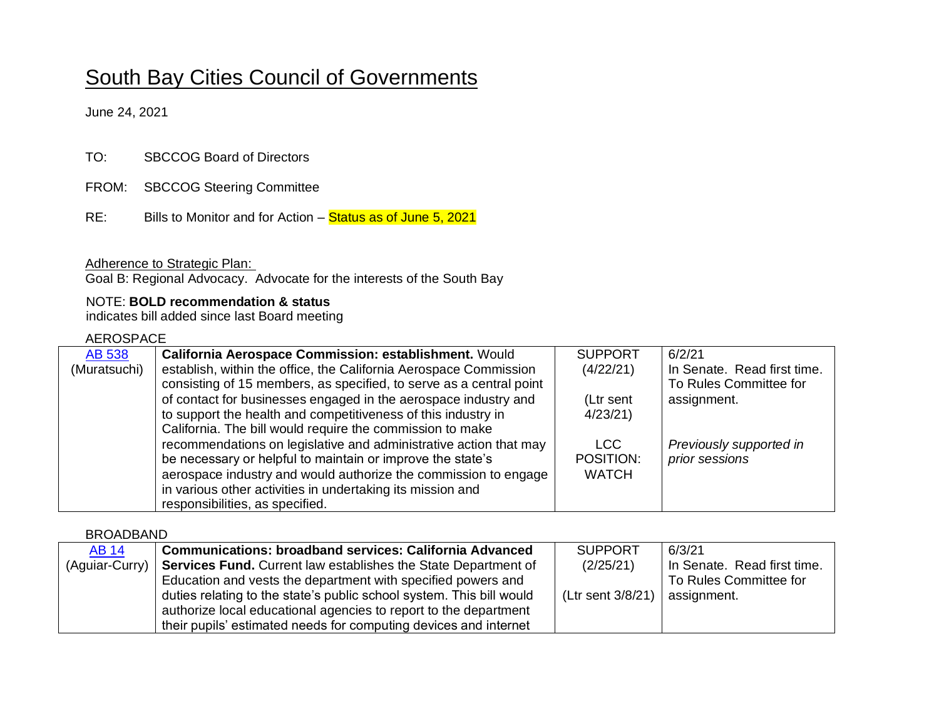# South Bay Cities Council of Governments

June 24, 2021

| <b>SBCCOG Board of Directors</b> |
|----------------------------------|
|                                  |

- FROM: SBCCOG Steering Committee
- $RE:$ Bills to Monitor and for Action – Status as of June 5, 2021

Adherence to Strategic Plan:

Goal B: Regional Advocacy. Advocate for the interests of the South Bay

#### NOTE: **BOLD recommendation & status**

indicates bill added since last Board meeting

#### AEROSPACE

| <b>AB 538</b> | California Aerospace Commission: establishment. Would               | <b>SUPPORT</b> | 6/2/21                      |
|---------------|---------------------------------------------------------------------|----------------|-----------------------------|
| (Muratsuchi)  | establish, within the office, the California Aerospace Commission   | (4/22/21)      | In Senate. Read first time. |
|               | consisting of 15 members, as specified, to serve as a central point |                | To Rules Committee for      |
|               | of contact for businesses engaged in the aerospace industry and     | (Ltr sent      | assignment.                 |
|               | to support the health and competitiveness of this industry in       | 4/23/21        |                             |
|               | California. The bill would require the commission to make           |                |                             |
|               | recommendations on legislative and administrative action that may   | <b>LCC</b>     | Previously supported in     |
|               | be necessary or helpful to maintain or improve the state's          | POSITION:      | prior sessions              |
|               | aerospace industry and would authorize the commission to engage     | <b>WATCH</b>   |                             |
|               | in various other activities in undertaking its mission and          |                |                             |
|               | responsibilities, as specified.                                     |                |                             |

BROADBAND

| <b>AB 14</b>   | <b>Communications: broadband services: California Advanced</b>        | <b>SUPPORT</b>    | 6/3/21                      |
|----------------|-----------------------------------------------------------------------|-------------------|-----------------------------|
| (Aguiar-Curry) | <b>Services Fund.</b> Current law establishes the State Department of | (2/25/21)         | In Senate. Read first time. |
|                | Education and vests the department with specified powers and          |                   | To Rules Committee for      |
|                | duties relating to the state's public school system. This bill would  | (Ltr sent 3/8/21) | assignment.                 |
|                | authorize local educational agencies to report to the department      |                   |                             |
|                | their pupils' estimated needs for computing devices and internet      |                   |                             |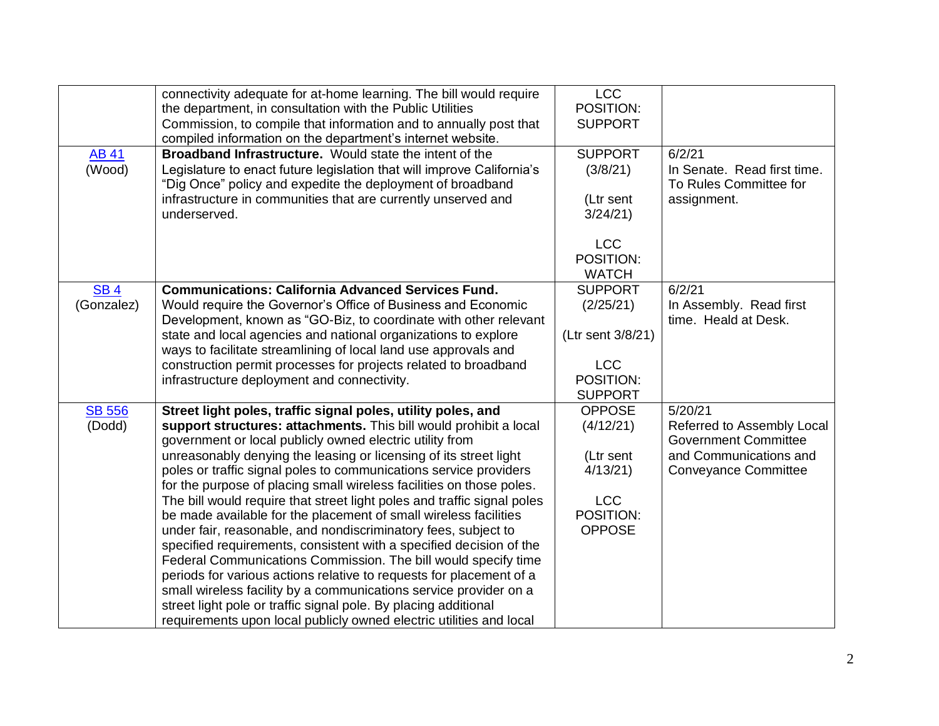|               | connectivity adequate for at-home learning. The bill would require      | <b>LCC</b>        |                             |
|---------------|-------------------------------------------------------------------------|-------------------|-----------------------------|
|               | the department, in consultation with the Public Utilities               | POSITION:         |                             |
|               | Commission, to compile that information and to annually post that       | <b>SUPPORT</b>    |                             |
|               | compiled information on the department's internet website.              |                   |                             |
| <b>AB 41</b>  | <b>Broadband Infrastructure.</b> Would state the intent of the          | <b>SUPPORT</b>    | 6/2/21                      |
| (Wood)        | Legislature to enact future legislation that will improve California's  | (3/8/21)          | In Senate. Read first time. |
|               | "Dig Once" policy and expedite the deployment of broadband              |                   | To Rules Committee for      |
|               | infrastructure in communities that are currently unserved and           | (Ltr sent         | assignment.                 |
|               | underserved.                                                            | 3/24/21           |                             |
|               |                                                                         |                   |                             |
|               |                                                                         | <b>LCC</b>        |                             |
|               |                                                                         | POSITION:         |                             |
|               |                                                                         | <b>WATCH</b>      |                             |
| <b>SB4</b>    | <b>Communications: California Advanced Services Fund.</b>               | <b>SUPPORT</b>    | 6/2/21                      |
| (Gonzalez)    | Would require the Governor's Office of Business and Economic            | (2/25/21)         | In Assembly. Read first     |
|               | Development, known as "GO-Biz, to coordinate with other relevant        |                   | time. Heald at Desk.        |
|               | state and local agencies and national organizations to explore          | (Ltr sent 3/8/21) |                             |
|               | ways to facilitate streamlining of local land use approvals and         |                   |                             |
|               | construction permit processes for projects related to broadband         | <b>LCC</b>        |                             |
|               | infrastructure deployment and connectivity.                             | POSITION:         |                             |
|               |                                                                         | <b>SUPPORT</b>    |                             |
| <b>SB 556</b> | Street light poles, traffic signal poles, utility poles, and            | <b>OPPOSE</b>     | 5/20/21                     |
| (Dodd)        | support structures: attachments. This bill would prohibit a local       | (4/12/21)         | Referred to Assembly Local  |
|               | government or local publicly owned electric utility from                |                   | <b>Government Committee</b> |
|               | unreasonably denying the leasing or licensing of its street light       | (Ltr sent         | and Communications and      |
|               | poles or traffic signal poles to communications service providers       | 4/13/21           | Conveyance Committee        |
|               | for the purpose of placing small wireless facilities on those poles.    |                   |                             |
|               | The bill would require that street light poles and traffic signal poles | <b>LCC</b>        |                             |
|               | be made available for the placement of small wireless facilities        | POSITION:         |                             |
|               | under fair, reasonable, and nondiscriminatory fees, subject to          | <b>OPPOSE</b>     |                             |
|               | specified requirements, consistent with a specified decision of the     |                   |                             |
|               | Federal Communications Commission. The bill would specify time          |                   |                             |
|               | periods for various actions relative to requests for placement of a     |                   |                             |
|               | small wireless facility by a communications service provider on a       |                   |                             |
|               | street light pole or traffic signal pole. By placing additional         |                   |                             |
|               | requirements upon local publicly owned electric utilities and local     |                   |                             |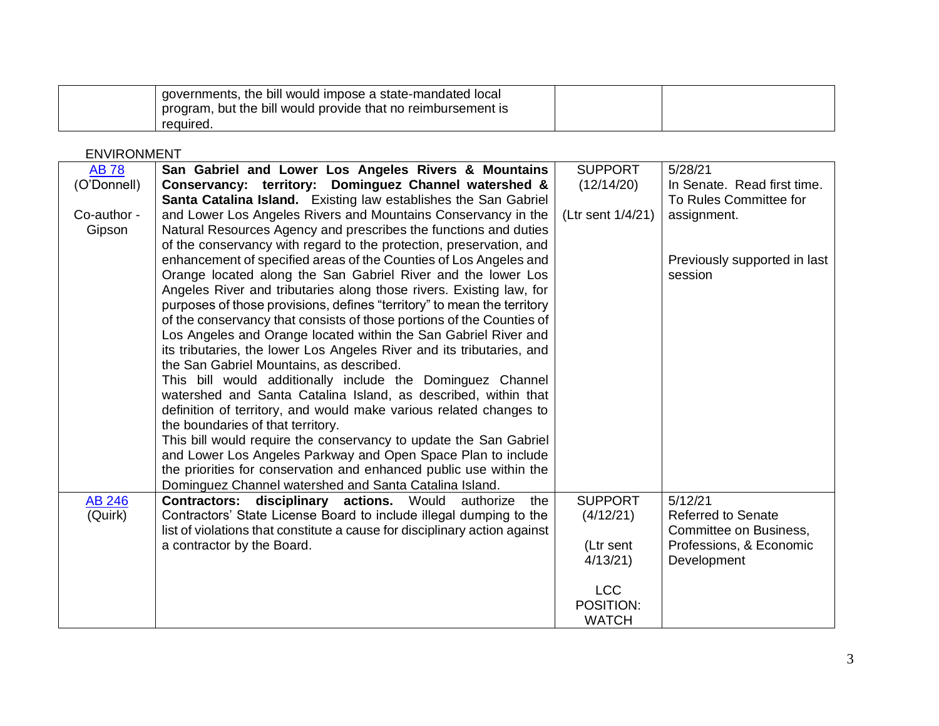| governments, the bill would impose a state-mandated local<br>program, but the bill would provide that no reimbursement is |  |
|---------------------------------------------------------------------------------------------------------------------------|--|
| reguired.                                                                                                                 |  |

#### ENVIRONMENT

| <b>AB78</b>   | San Gabriel and Lower Los Angeles Rivers & Mountains                       | <b>SUPPORT</b>    | 5/28/21                      |
|---------------|----------------------------------------------------------------------------|-------------------|------------------------------|
| (O'Donnell)   | Conservancy: territory: Dominguez Channel watershed &                      | (12/14/20)        | In Senate. Read first time.  |
|               | Santa Catalina Island. Existing law establishes the San Gabriel            |                   | To Rules Committee for       |
| Co-author -   | and Lower Los Angeles Rivers and Mountains Conservancy in the              | (Ltr sent 1/4/21) | assignment.                  |
| Gipson        | Natural Resources Agency and prescribes the functions and duties           |                   |                              |
|               | of the conservancy with regard to the protection, preservation, and        |                   |                              |
|               | enhancement of specified areas of the Counties of Los Angeles and          |                   | Previously supported in last |
|               | Orange located along the San Gabriel River and the lower Los               |                   | session                      |
|               | Angeles River and tributaries along those rivers. Existing law, for        |                   |                              |
|               | purposes of those provisions, defines "territory" to mean the territory    |                   |                              |
|               | of the conservancy that consists of those portions of the Counties of      |                   |                              |
|               | Los Angeles and Orange located within the San Gabriel River and            |                   |                              |
|               | its tributaries, the lower Los Angeles River and its tributaries, and      |                   |                              |
|               | the San Gabriel Mountains, as described.                                   |                   |                              |
|               | This bill would additionally include the Dominguez Channel                 |                   |                              |
|               | watershed and Santa Catalina Island, as described, within that             |                   |                              |
|               | definition of territory, and would make various related changes to         |                   |                              |
|               | the boundaries of that territory.                                          |                   |                              |
|               | This bill would require the conservancy to update the San Gabriel          |                   |                              |
|               | and Lower Los Angeles Parkway and Open Space Plan to include               |                   |                              |
|               | the priorities for conservation and enhanced public use within the         |                   |                              |
|               | Dominguez Channel watershed and Santa Catalina Island.                     |                   |                              |
| <b>AB 246</b> | <b>Contractors: disciplinary actions.</b> Would<br>authorize<br>the        | <b>SUPPORT</b>    | 5/12/21                      |
| (Quirk)       | Contractors' State License Board to include illegal dumping to the         | (4/12/21)         | <b>Referred to Senate</b>    |
|               | list of violations that constitute a cause for disciplinary action against |                   | Committee on Business,       |
|               | a contractor by the Board.                                                 | (Ltr sent         | Professions, & Economic      |
|               |                                                                            | 4/13/21           | Development                  |
|               |                                                                            |                   |                              |
|               |                                                                            | <b>LCC</b>        |                              |
|               |                                                                            | POSITION:         |                              |
|               |                                                                            | <b>WATCH</b>      |                              |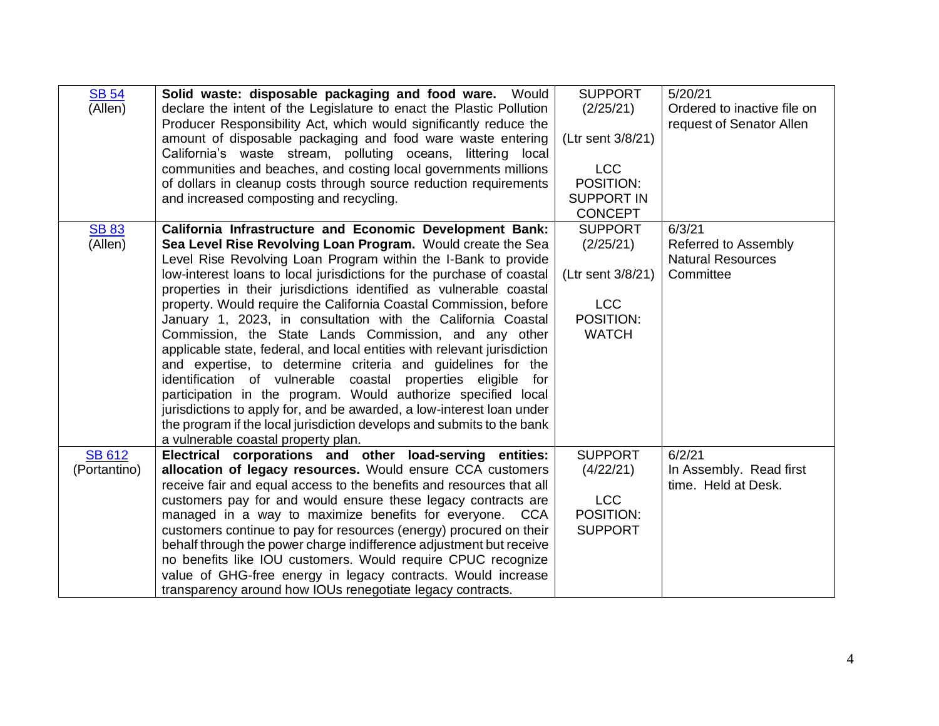| <b>SB 54</b>  | Solid waste: disposable packaging and food ware. Would                   | <b>SUPPORT</b>    | 5/20/21                     |
|---------------|--------------------------------------------------------------------------|-------------------|-----------------------------|
| (Allen)       | declare the intent of the Legislature to enact the Plastic Pollution     | (2/25/21)         | Ordered to inactive file on |
|               | Producer Responsibility Act, which would significantly reduce the        |                   | request of Senator Allen    |
|               | amount of disposable packaging and food ware waste entering              | (Ltr sent 3/8/21) |                             |
|               | California's waste stream, polluting oceans, littering local             |                   |                             |
|               |                                                                          | <b>LCC</b>        |                             |
|               | communities and beaches, and costing local governments millions          |                   |                             |
|               | of dollars in cleanup costs through source reduction requirements        | POSITION:         |                             |
|               | and increased composting and recycling.                                  | <b>SUPPORT IN</b> |                             |
|               |                                                                          | <b>CONCEPT</b>    |                             |
| <b>SB 83</b>  | California Infrastructure and Economic Development Bank:                 | <b>SUPPORT</b>    | 6/3/21                      |
| (Allen)       | Sea Level Rise Revolving Loan Program. Would create the Sea              | (2/25/21)         | Referred to Assembly        |
|               | Level Rise Revolving Loan Program within the I-Bank to provide           |                   | <b>Natural Resources</b>    |
|               | low-interest loans to local jurisdictions for the purchase of coastal    | (Ltr sent 3/8/21) | Committee                   |
|               | properties in their jurisdictions identified as vulnerable coastal       |                   |                             |
|               | property. Would require the California Coastal Commission, before        | <b>LCC</b>        |                             |
|               | January 1, 2023, in consultation with the California Coastal             | POSITION:         |                             |
|               | Commission, the State Lands Commission, and any other                    | <b>WATCH</b>      |                             |
|               | applicable state, federal, and local entities with relevant jurisdiction |                   |                             |
|               | and expertise, to determine criteria and guidelines for the              |                   |                             |
|               | identification of vulnerable coastal<br>properties eligible for          |                   |                             |
|               | participation in the program. Would authorize specified local            |                   |                             |
|               | jurisdictions to apply for, and be awarded, a low-interest loan under    |                   |                             |
|               | the program if the local jurisdiction develops and submits to the bank   |                   |                             |
|               | a vulnerable coastal property plan.                                      |                   |                             |
| <b>SB 612</b> | Electrical corporations and other load-serving entities:                 | <b>SUPPORT</b>    | 6/2/21                      |
| (Portantino)  | allocation of legacy resources. Would ensure CCA customers               | (4/22/21)         | In Assembly. Read first     |
|               | receive fair and equal access to the benefits and resources that all     |                   | time. Held at Desk.         |
|               | customers pay for and would ensure these legacy contracts are            | <b>LCC</b>        |                             |
|               | managed in a way to maximize benefits for everyone. CCA                  | POSITION:         |                             |
|               | customers continue to pay for resources (energy) procured on their       | <b>SUPPORT</b>    |                             |
|               | behalf through the power charge indifference adjustment but receive      |                   |                             |
|               | no benefits like IOU customers. Would require CPUC recognize             |                   |                             |
|               | value of GHG-free energy in legacy contracts. Would increase             |                   |                             |
|               | transparency around how IOUs renegotiate legacy contracts.               |                   |                             |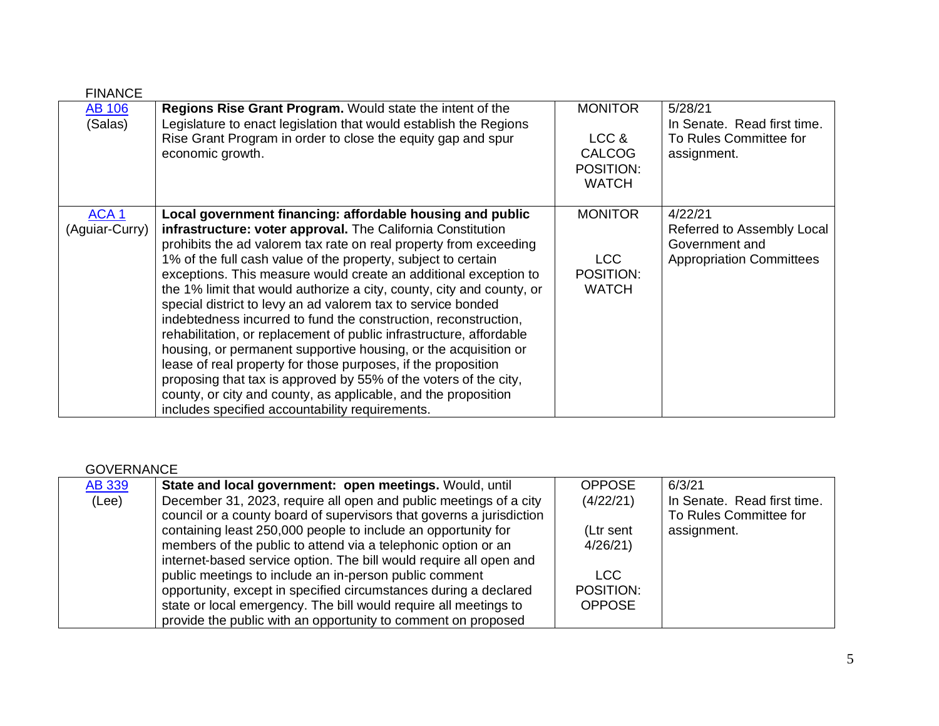| <b>FINANCE</b>   |                                                                       |                |                                 |
|------------------|-----------------------------------------------------------------------|----------------|---------------------------------|
| <b>AB 106</b>    | <b>Regions Rise Grant Program.</b> Would state the intent of the      | <b>MONITOR</b> | 5/28/21                         |
| (Salas)          | Legislature to enact legislation that would establish the Regions     |                | In Senate. Read first time.     |
|                  | Rise Grant Program in order to close the equity gap and spur          | LCC &          | To Rules Committee for          |
|                  | economic growth.                                                      | <b>CALCOG</b>  | assignment.                     |
|                  |                                                                       | POSITION:      |                                 |
|                  |                                                                       | <b>WATCH</b>   |                                 |
|                  |                                                                       |                |                                 |
| ACA <sub>1</sub> | Local government financing: affordable housing and public             | <b>MONITOR</b> | 4/22/21                         |
| (Aguiar-Curry)   | infrastructure: voter approval. The California Constitution           |                | Referred to Assembly Local      |
|                  | prohibits the ad valorem tax rate on real property from exceeding     |                | Government and                  |
|                  | 1% of the full cash value of the property, subject to certain         | LCC            | <b>Appropriation Committees</b> |
|                  | exceptions. This measure would create an additional exception to      | POSITION:      |                                 |
|                  | the 1% limit that would authorize a city, county, city and county, or | <b>WATCH</b>   |                                 |
|                  | special district to levy an ad valorem tax to service bonded          |                |                                 |
|                  | indebtedness incurred to fund the construction, reconstruction,       |                |                                 |
|                  | rehabilitation, or replacement of public infrastructure, affordable   |                |                                 |
|                  | housing, or permanent supportive housing, or the acquisition or       |                |                                 |
|                  | lease of real property for those purposes, if the proposition         |                |                                 |
|                  | proposing that tax is approved by 55% of the voters of the city,      |                |                                 |
|                  | county, or city and county, as applicable, and the proposition        |                |                                 |
|                  | includes specified accountability requirements.                       |                |                                 |

#### GOVERNANCE

| <b>AB 339</b> | State and local government: open meetings. Would, until              | <b>OPPOSE</b> | 6/3/21                      |
|---------------|----------------------------------------------------------------------|---------------|-----------------------------|
| (Lee)         | December 31, 2023, require all open and public meetings of a city    | (4/22/21)     | In Senate. Read first time. |
|               | council or a county board of supervisors that governs a jurisdiction |               | To Rules Committee for      |
|               | containing least 250,000 people to include an opportunity for        | (Ltr sent     | assignment.                 |
|               | members of the public to attend via a telephonic option or an        | 4/26/21       |                             |
|               | internet-based service option. The bill would require all open and   |               |                             |
|               | public meetings to include an in-person public comment               | LCC.          |                             |
|               | opportunity, except in specified circumstances during a declared     | POSITION:     |                             |
|               | state or local emergency. The bill would require all meetings to     | <b>OPPOSE</b> |                             |
|               | provide the public with an opportunity to comment on proposed        |               |                             |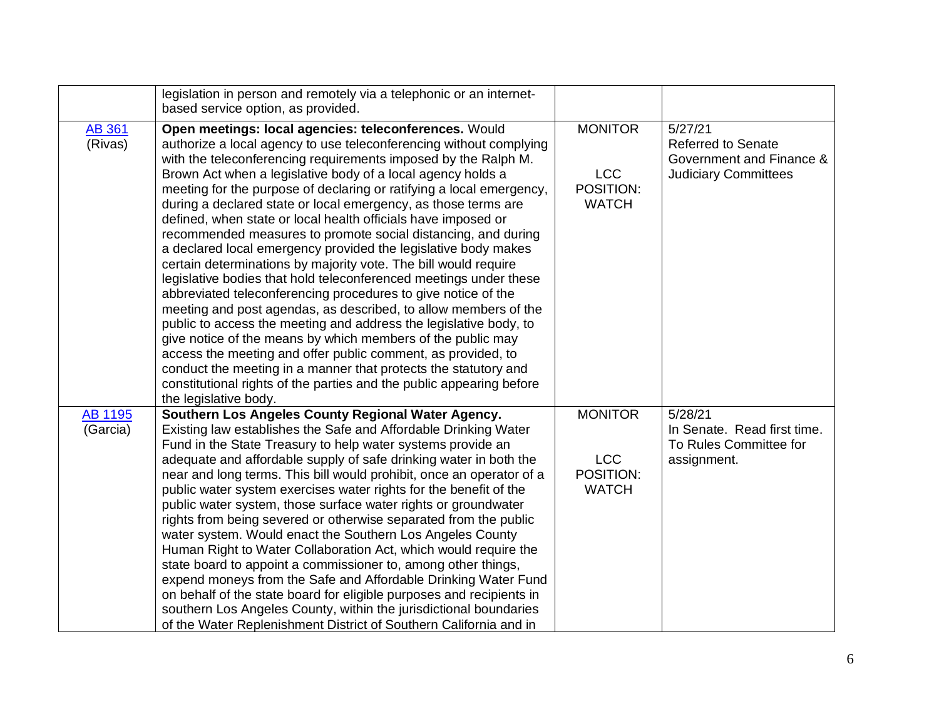|                            | legislation in person and remotely via a telephonic or an internet-<br>based service option, as provided.                                                                                                                                                                                                                                                                                                                                                                                                                                                                                                                                                                                                                                                                                                                                                                                                                                                                                                                                                                                                                                                                                                                                                      |                                                           |                                                                                                 |
|----------------------------|----------------------------------------------------------------------------------------------------------------------------------------------------------------------------------------------------------------------------------------------------------------------------------------------------------------------------------------------------------------------------------------------------------------------------------------------------------------------------------------------------------------------------------------------------------------------------------------------------------------------------------------------------------------------------------------------------------------------------------------------------------------------------------------------------------------------------------------------------------------------------------------------------------------------------------------------------------------------------------------------------------------------------------------------------------------------------------------------------------------------------------------------------------------------------------------------------------------------------------------------------------------|-----------------------------------------------------------|-------------------------------------------------------------------------------------------------|
| <b>AB 361</b><br>(Rivas)   | Open meetings: local agencies: teleconferences. Would<br>authorize a local agency to use teleconferencing without complying<br>with the teleconferencing requirements imposed by the Ralph M.<br>Brown Act when a legislative body of a local agency holds a<br>meeting for the purpose of declaring or ratifying a local emergency,<br>during a declared state or local emergency, as those terms are<br>defined, when state or local health officials have imposed or<br>recommended measures to promote social distancing, and during<br>a declared local emergency provided the legislative body makes<br>certain determinations by majority vote. The bill would require<br>legislative bodies that hold teleconferenced meetings under these<br>abbreviated teleconferencing procedures to give notice of the<br>meeting and post agendas, as described, to allow members of the<br>public to access the meeting and address the legislative body, to<br>give notice of the means by which members of the public may<br>access the meeting and offer public comment, as provided, to<br>conduct the meeting in a manner that protects the statutory and<br>constitutional rights of the parties and the public appearing before<br>the legislative body. | <b>MONITOR</b><br><b>LCC</b><br>POSITION:<br><b>WATCH</b> | 5/27/21<br><b>Referred to Senate</b><br>Government and Finance &<br><b>Judiciary Committees</b> |
| <b>AB 1195</b><br>(Garcia) | Southern Los Angeles County Regional Water Agency.<br>Existing law establishes the Safe and Affordable Drinking Water<br>Fund in the State Treasury to help water systems provide an<br>adequate and affordable supply of safe drinking water in both the<br>near and long terms. This bill would prohibit, once an operator of a<br>public water system exercises water rights for the benefit of the<br>public water system, those surface water rights or groundwater<br>rights from being severed or otherwise separated from the public<br>water system. Would enact the Southern Los Angeles County<br>Human Right to Water Collaboration Act, which would require the<br>state board to appoint a commissioner to, among other things,<br>expend moneys from the Safe and Affordable Drinking Water Fund<br>on behalf of the state board for eligible purposes and recipients in<br>southern Los Angeles County, within the jurisdictional boundaries<br>of the Water Replenishment District of Southern California and in                                                                                                                                                                                                                              | <b>MONITOR</b><br><b>LCC</b><br>POSITION:<br><b>WATCH</b> | 5/28/21<br>In Senate. Read first time.<br>To Rules Committee for<br>assignment.                 |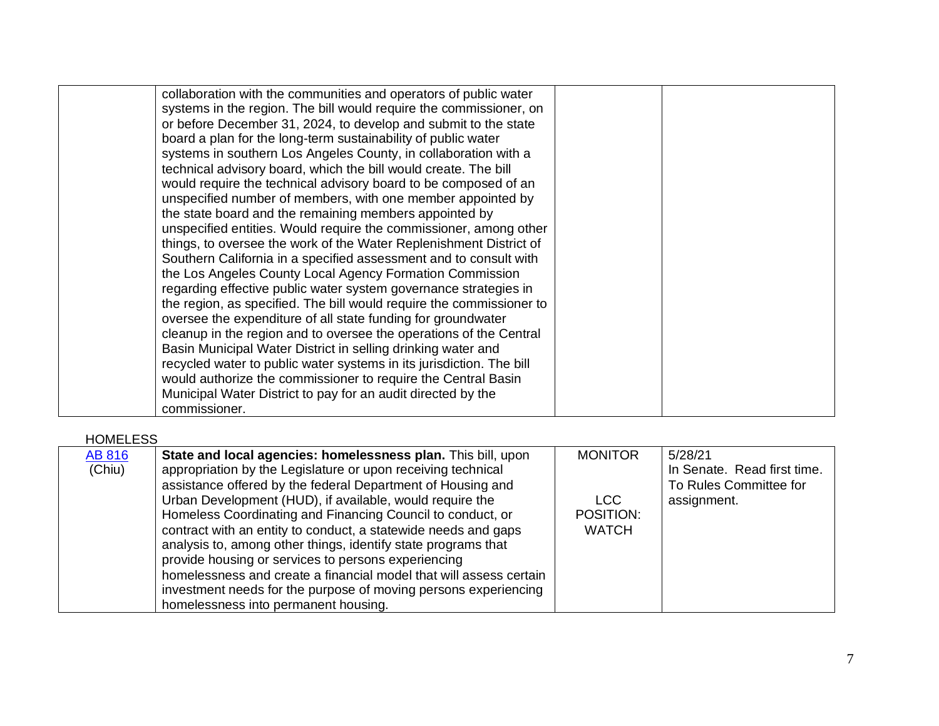| collaboration with the communities and operators of public water<br>systems in the region. The bill would require the commissioner, on<br>or before December 31, 2024, to develop and submit to the state<br>board a plan for the long-term sustainability of public water<br>systems in southern Los Angeles County, in collaboration with a<br>technical advisory board, which the bill would create. The bill<br>would require the technical advisory board to be composed of an<br>unspecified number of members, with one member appointed by<br>the state board and the remaining members appointed by<br>unspecified entities. Would require the commissioner, among other<br>things, to oversee the work of the Water Replenishment District of<br>Southern California in a specified assessment and to consult with |
|------------------------------------------------------------------------------------------------------------------------------------------------------------------------------------------------------------------------------------------------------------------------------------------------------------------------------------------------------------------------------------------------------------------------------------------------------------------------------------------------------------------------------------------------------------------------------------------------------------------------------------------------------------------------------------------------------------------------------------------------------------------------------------------------------------------------------|
|                                                                                                                                                                                                                                                                                                                                                                                                                                                                                                                                                                                                                                                                                                                                                                                                                              |
|                                                                                                                                                                                                                                                                                                                                                                                                                                                                                                                                                                                                                                                                                                                                                                                                                              |
|                                                                                                                                                                                                                                                                                                                                                                                                                                                                                                                                                                                                                                                                                                                                                                                                                              |
|                                                                                                                                                                                                                                                                                                                                                                                                                                                                                                                                                                                                                                                                                                                                                                                                                              |
|                                                                                                                                                                                                                                                                                                                                                                                                                                                                                                                                                                                                                                                                                                                                                                                                                              |
|                                                                                                                                                                                                                                                                                                                                                                                                                                                                                                                                                                                                                                                                                                                                                                                                                              |
|                                                                                                                                                                                                                                                                                                                                                                                                                                                                                                                                                                                                                                                                                                                                                                                                                              |
|                                                                                                                                                                                                                                                                                                                                                                                                                                                                                                                                                                                                                                                                                                                                                                                                                              |
|                                                                                                                                                                                                                                                                                                                                                                                                                                                                                                                                                                                                                                                                                                                                                                                                                              |
|                                                                                                                                                                                                                                                                                                                                                                                                                                                                                                                                                                                                                                                                                                                                                                                                                              |
|                                                                                                                                                                                                                                                                                                                                                                                                                                                                                                                                                                                                                                                                                                                                                                                                                              |
|                                                                                                                                                                                                                                                                                                                                                                                                                                                                                                                                                                                                                                                                                                                                                                                                                              |
| the Los Angeles County Local Agency Formation Commission                                                                                                                                                                                                                                                                                                                                                                                                                                                                                                                                                                                                                                                                                                                                                                     |
| regarding effective public water system governance strategies in                                                                                                                                                                                                                                                                                                                                                                                                                                                                                                                                                                                                                                                                                                                                                             |
| the region, as specified. The bill would require the commissioner to                                                                                                                                                                                                                                                                                                                                                                                                                                                                                                                                                                                                                                                                                                                                                         |
| oversee the expenditure of all state funding for groundwater                                                                                                                                                                                                                                                                                                                                                                                                                                                                                                                                                                                                                                                                                                                                                                 |
| cleanup in the region and to oversee the operations of the Central                                                                                                                                                                                                                                                                                                                                                                                                                                                                                                                                                                                                                                                                                                                                                           |
| Basin Municipal Water District in selling drinking water and                                                                                                                                                                                                                                                                                                                                                                                                                                                                                                                                                                                                                                                                                                                                                                 |
| recycled water to public water systems in its jurisdiction. The bill                                                                                                                                                                                                                                                                                                                                                                                                                                                                                                                                                                                                                                                                                                                                                         |
| would authorize the commissioner to require the Central Basin                                                                                                                                                                                                                                                                                                                                                                                                                                                                                                                                                                                                                                                                                                                                                                |
| Municipal Water District to pay for an audit directed by the                                                                                                                                                                                                                                                                                                                                                                                                                                                                                                                                                                                                                                                                                                                                                                 |
| commissioner.                                                                                                                                                                                                                                                                                                                                                                                                                                                                                                                                                                                                                                                                                                                                                                                                                |

### HOMELESS

| <b>AB 816</b> | State and local agencies: homelessness plan. This bill, upon                                                                                                                                                                                                                                                                                                            | <b>MONITOR</b>   | 5/28/21                                                              |
|---------------|-------------------------------------------------------------------------------------------------------------------------------------------------------------------------------------------------------------------------------------------------------------------------------------------------------------------------------------------------------------------------|------------------|----------------------------------------------------------------------|
| (Chiu)        | appropriation by the Legislature or upon receiving technical<br>assistance offered by the federal Department of Housing and<br>Urban Development (HUD), if available, would require the<br>Homeless Coordinating and Financing Council to conduct, or                                                                                                                   | LCC<br>POSITION: | In Senate. Read first time.<br>To Rules Committee for<br>assignment. |
|               | contract with an entity to conduct, a statewide needs and gaps<br>analysis to, among other things, identify state programs that<br>provide housing or services to persons experiencing<br>homelessness and create a financial model that will assess certain<br>investment needs for the purpose of moving persons experiencing<br>homelessness into permanent housing. | <b>WATCH</b>     |                                                                      |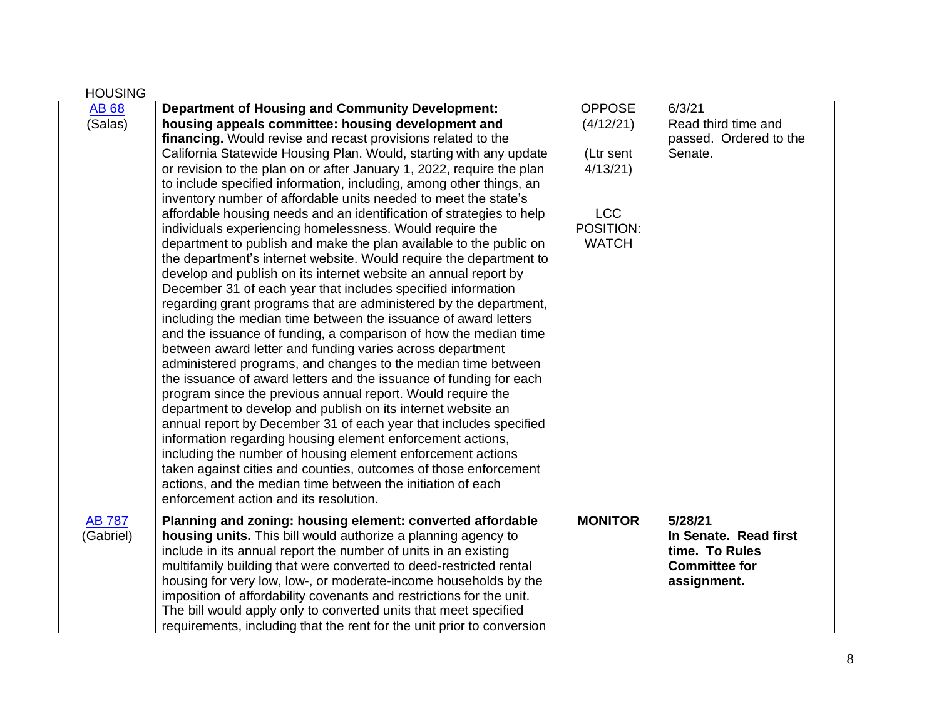| <b>HOUSING</b>             |                                                                                                                                                                                                                                                                                                                                                                                                                                                                                                                                                                                                                                                                                                                                                                                                                                                                                                                                                                                                                                                                                                                                                                                                                                                                                                                                                                                                                                                                                                                                                                                                                                                                                                                                                                                                                         |                                                                                               |                                                                                           |
|----------------------------|-------------------------------------------------------------------------------------------------------------------------------------------------------------------------------------------------------------------------------------------------------------------------------------------------------------------------------------------------------------------------------------------------------------------------------------------------------------------------------------------------------------------------------------------------------------------------------------------------------------------------------------------------------------------------------------------------------------------------------------------------------------------------------------------------------------------------------------------------------------------------------------------------------------------------------------------------------------------------------------------------------------------------------------------------------------------------------------------------------------------------------------------------------------------------------------------------------------------------------------------------------------------------------------------------------------------------------------------------------------------------------------------------------------------------------------------------------------------------------------------------------------------------------------------------------------------------------------------------------------------------------------------------------------------------------------------------------------------------------------------------------------------------------------------------------------------------|-----------------------------------------------------------------------------------------------|-------------------------------------------------------------------------------------------|
| <b>AB68</b><br>(Salas)     | <b>Department of Housing and Community Development:</b><br>housing appeals committee: housing development and<br>financing. Would revise and recast provisions related to the<br>California Statewide Housing Plan. Would, starting with any update<br>or revision to the plan on or after January 1, 2022, require the plan<br>to include specified information, including, among other things, an<br>inventory number of affordable units needed to meet the state's<br>affordable housing needs and an identification of strategies to help<br>individuals experiencing homelessness. Would require the<br>department to publish and make the plan available to the public on<br>the department's internet website. Would require the department to<br>develop and publish on its internet website an annual report by<br>December 31 of each year that includes specified information<br>regarding grant programs that are administered by the department,<br>including the median time between the issuance of award letters<br>and the issuance of funding, a comparison of how the median time<br>between award letter and funding varies across department<br>administered programs, and changes to the median time between<br>the issuance of award letters and the issuance of funding for each<br>program since the previous annual report. Would require the<br>department to develop and publish on its internet website an<br>annual report by December 31 of each year that includes specified<br>information regarding housing element enforcement actions,<br>including the number of housing element enforcement actions<br>taken against cities and counties, outcomes of those enforcement<br>actions, and the median time between the initiation of each<br>enforcement action and its resolution. | <b>OPPOSE</b><br>(4/12/21)<br>(Ltr sent<br>4/13/21<br><b>LCC</b><br>POSITION:<br><b>WATCH</b> | 6/3/21<br>Read third time and<br>passed. Ordered to the<br>Senate.                        |
| <b>AB 787</b><br>(Gabriel) | Planning and zoning: housing element: converted affordable<br>housing units. This bill would authorize a planning agency to<br>include in its annual report the number of units in an existing<br>multifamily building that were converted to deed-restricted rental<br>housing for very low, low-, or moderate-income households by the<br>imposition of affordability covenants and restrictions for the unit.<br>The bill would apply only to converted units that meet specified<br>requirements, including that the rent for the unit prior to conversion                                                                                                                                                                                                                                                                                                                                                                                                                                                                                                                                                                                                                                                                                                                                                                                                                                                                                                                                                                                                                                                                                                                                                                                                                                                          | <b>MONITOR</b>                                                                                | 5/28/21<br>In Senate. Read first<br>time. To Rules<br><b>Committee for</b><br>assignment. |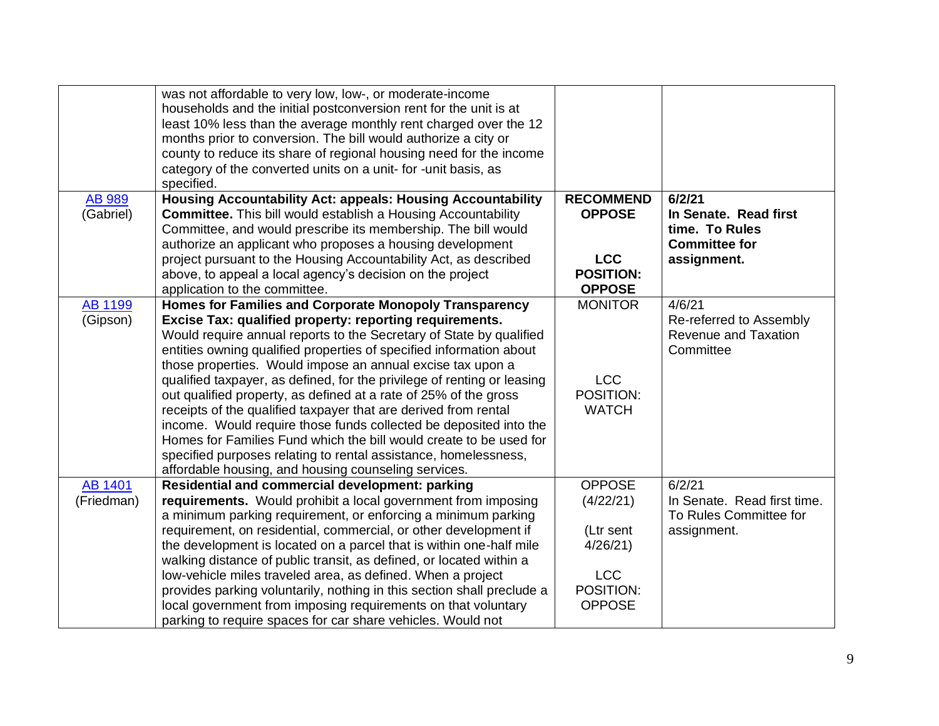|                              | was not affordable to very low, low-, or moderate-income<br>households and the initial postconversion rent for the unit is at<br>least 10% less than the average monthly rent charged over the 12<br>months prior to conversion. The bill would authorize a city or<br>county to reduce its share of regional housing need for the income<br>category of the converted units on a unit- for -unit basis, as<br>specified. |                  |                                          |
|------------------------------|---------------------------------------------------------------------------------------------------------------------------------------------------------------------------------------------------------------------------------------------------------------------------------------------------------------------------------------------------------------------------------------------------------------------------|------------------|------------------------------------------|
| <b>AB 989</b>                | <b>Housing Accountability Act: appeals: Housing Accountability</b>                                                                                                                                                                                                                                                                                                                                                        | <b>RECOMMEND</b> | 6/2/21                                   |
| (Gabriel)                    | <b>Committee.</b> This bill would establish a Housing Accountability<br>Committee, and would prescribe its membership. The bill would                                                                                                                                                                                                                                                                                     | <b>OPPOSE</b>    | In Senate. Read first<br>time. To Rules  |
|                              | authorize an applicant who proposes a housing development                                                                                                                                                                                                                                                                                                                                                                 |                  | <b>Committee for</b>                     |
|                              | project pursuant to the Housing Accountability Act, as described                                                                                                                                                                                                                                                                                                                                                          | <b>LCC</b>       | assignment.                              |
|                              | above, to appeal a local agency's decision on the project                                                                                                                                                                                                                                                                                                                                                                 | <b>POSITION:</b> |                                          |
|                              | application to the committee.                                                                                                                                                                                                                                                                                                                                                                                             | <b>OPPOSE</b>    |                                          |
| <b>AB 1199</b>               | Homes for Families and Corporate Monopoly Transparency                                                                                                                                                                                                                                                                                                                                                                    | <b>MONITOR</b>   | 4/6/21                                   |
| (Gipson)                     | Excise Tax: qualified property: reporting requirements.                                                                                                                                                                                                                                                                                                                                                                   |                  | Re-referred to Assembly                  |
|                              | Would require annual reports to the Secretary of State by qualified<br>entities owning qualified properties of specified information about                                                                                                                                                                                                                                                                                |                  | <b>Revenue and Taxation</b><br>Committee |
|                              | those properties. Would impose an annual excise tax upon a                                                                                                                                                                                                                                                                                                                                                                |                  |                                          |
|                              | qualified taxpayer, as defined, for the privilege of renting or leasing                                                                                                                                                                                                                                                                                                                                                   | <b>LCC</b>       |                                          |
|                              | out qualified property, as defined at a rate of 25% of the gross                                                                                                                                                                                                                                                                                                                                                          | POSITION:        |                                          |
|                              | receipts of the qualified taxpayer that are derived from rental                                                                                                                                                                                                                                                                                                                                                           | <b>WATCH</b>     |                                          |
|                              | income. Would require those funds collected be deposited into the                                                                                                                                                                                                                                                                                                                                                         |                  |                                          |
|                              | Homes for Families Fund which the bill would create to be used for                                                                                                                                                                                                                                                                                                                                                        |                  |                                          |
|                              | specified purposes relating to rental assistance, homelessness,                                                                                                                                                                                                                                                                                                                                                           |                  |                                          |
|                              | affordable housing, and housing counseling services.                                                                                                                                                                                                                                                                                                                                                                      | <b>OPPOSE</b>    | 6/2/21                                   |
| <b>AB 1401</b><br>(Friedman) | <b>Residential and commercial development: parking</b><br>requirements. Would prohibit a local government from imposing                                                                                                                                                                                                                                                                                                   | (4/22/21)        | In Senate. Read first time.              |
|                              | a minimum parking requirement, or enforcing a minimum parking                                                                                                                                                                                                                                                                                                                                                             |                  | To Rules Committee for                   |
|                              | requirement, on residential, commercial, or other development if                                                                                                                                                                                                                                                                                                                                                          | (Ltr sent        | assignment.                              |
|                              | the development is located on a parcel that is within one-half mile                                                                                                                                                                                                                                                                                                                                                       | 4/26/21          |                                          |
|                              | walking distance of public transit, as defined, or located within a                                                                                                                                                                                                                                                                                                                                                       |                  |                                          |
|                              | low-vehicle miles traveled area, as defined. When a project                                                                                                                                                                                                                                                                                                                                                               | <b>LCC</b>       |                                          |
|                              | provides parking voluntarily, nothing in this section shall preclude a                                                                                                                                                                                                                                                                                                                                                    | POSITION:        |                                          |
|                              | local government from imposing requirements on that voluntary                                                                                                                                                                                                                                                                                                                                                             | <b>OPPOSE</b>    |                                          |
|                              | parking to require spaces for car share vehicles. Would not                                                                                                                                                                                                                                                                                                                                                               |                  |                                          |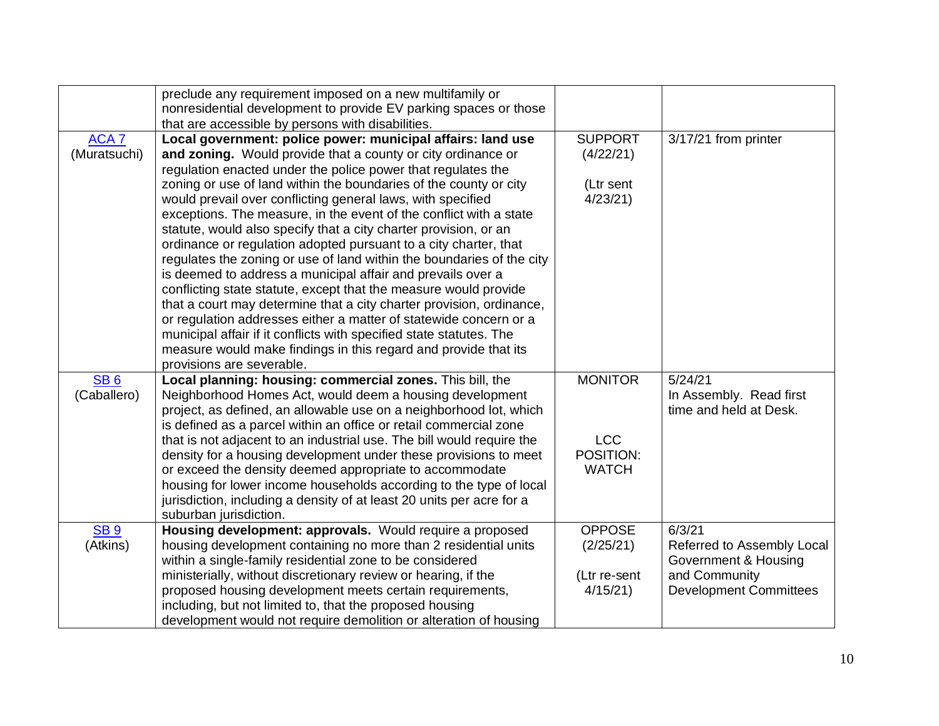|                  | preclude any requirement imposed on a new multifamily or<br>nonresidential development to provide EV parking spaces or those<br>that are accessible by persons with disabilities. |                         |                               |
|------------------|-----------------------------------------------------------------------------------------------------------------------------------------------------------------------------------|-------------------------|-------------------------------|
| ACA <sub>7</sub> | Local government: police power: municipal affairs: land use                                                                                                                       | <b>SUPPORT</b>          | $3/17/21$ from printer        |
| (Muratsuchi)     | and zoning. Would provide that a county or city ordinance or                                                                                                                      | (4/22/21)               |                               |
|                  | regulation enacted under the police power that regulates the                                                                                                                      |                         |                               |
|                  | zoning or use of land within the boundaries of the county or city                                                                                                                 | (Ltr sent               |                               |
|                  | would prevail over conflicting general laws, with specified                                                                                                                       | 4/23/21                 |                               |
|                  | exceptions. The measure, in the event of the conflict with a state                                                                                                                |                         |                               |
|                  | statute, would also specify that a city charter provision, or an                                                                                                                  |                         |                               |
|                  | ordinance or regulation adopted pursuant to a city charter, that                                                                                                                  |                         |                               |
|                  | regulates the zoning or use of land within the boundaries of the city                                                                                                             |                         |                               |
|                  | is deemed to address a municipal affair and prevails over a                                                                                                                       |                         |                               |
|                  | conflicting state statute, except that the measure would provide                                                                                                                  |                         |                               |
|                  | that a court may determine that a city charter provision, ordinance,                                                                                                              |                         |                               |
|                  | or regulation addresses either a matter of statewide concern or a                                                                                                                 |                         |                               |
|                  | municipal affair if it conflicts with specified state statutes. The                                                                                                               |                         |                               |
|                  | measure would make findings in this regard and provide that its                                                                                                                   |                         |                               |
|                  | provisions are severable.                                                                                                                                                         |                         |                               |
| SB <sub>6</sub>  | Local planning: housing: commercial zones. This bill, the                                                                                                                         | <b>MONITOR</b>          | 5/24/21                       |
| (Caballero)      | Neighborhood Homes Act, would deem a housing development                                                                                                                          |                         | In Assembly. Read first       |
|                  | project, as defined, an allowable use on a neighborhood lot, which                                                                                                                |                         | time and held at Desk.        |
|                  | is defined as a parcel within an office or retail commercial zone                                                                                                                 |                         |                               |
|                  | that is not adjacent to an industrial use. The bill would require the                                                                                                             | <b>LCC</b><br>POSITION: |                               |
|                  | density for a housing development under these provisions to meet                                                                                                                  | <b>WATCH</b>            |                               |
|                  | or exceed the density deemed appropriate to accommodate<br>housing for lower income households according to the type of local                                                     |                         |                               |
|                  | jurisdiction, including a density of at least 20 units per acre for a                                                                                                             |                         |                               |
|                  | suburban jurisdiction.                                                                                                                                                            |                         |                               |
| <b>SB 9</b>      | Housing development: approvals. Would require a proposed                                                                                                                          | <b>OPPOSE</b>           | 6/3/21                        |
| (Atkins)         | housing development containing no more than 2 residential units                                                                                                                   | (2/25/21)               | Referred to Assembly Local    |
|                  | within a single-family residential zone to be considered                                                                                                                          |                         | Government & Housing          |
|                  | ministerially, without discretionary review or hearing, if the                                                                                                                    | (Ltr re-sent            | and Community                 |
|                  | proposed housing development meets certain requirements,                                                                                                                          | 4/15/21                 | <b>Development Committees</b> |
|                  | including, but not limited to, that the proposed housing                                                                                                                          |                         |                               |
|                  | development would not require demolition or alteration of housing                                                                                                                 |                         |                               |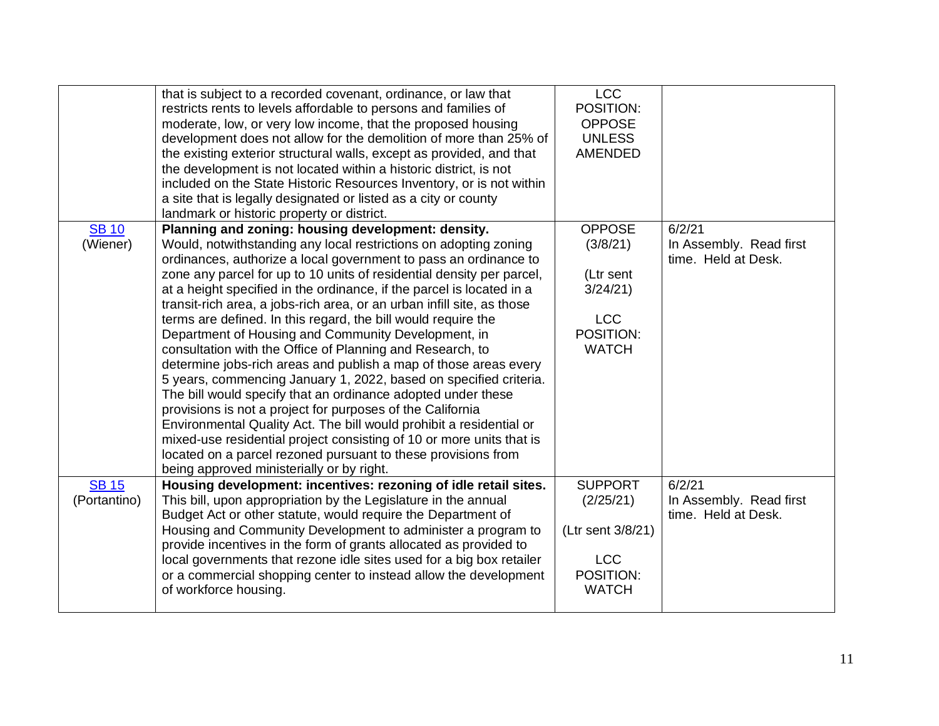|                              | that is subject to a recorded covenant, ordinance, or law that<br>restricts rents to levels affordable to persons and families of<br>moderate, low, or very low income, that the proposed housing<br>development does not allow for the demolition of more than 25% of<br>the existing exterior structural walls, except as provided, and that<br>the development is not located within a historic district, is not<br>included on the State Historic Resources Inventory, or is not within<br>a site that is legally designated or listed as a city or county<br>landmark or historic property or district.                                                                                                                                                                                                                                                                                                                                                                                                                                                                                                                                    | <b>LCC</b><br>POSITION:<br><b>OPPOSE</b><br><b>UNLESS</b><br><b>AMENDED</b>                  |                                                          |
|------------------------------|-------------------------------------------------------------------------------------------------------------------------------------------------------------------------------------------------------------------------------------------------------------------------------------------------------------------------------------------------------------------------------------------------------------------------------------------------------------------------------------------------------------------------------------------------------------------------------------------------------------------------------------------------------------------------------------------------------------------------------------------------------------------------------------------------------------------------------------------------------------------------------------------------------------------------------------------------------------------------------------------------------------------------------------------------------------------------------------------------------------------------------------------------|----------------------------------------------------------------------------------------------|----------------------------------------------------------|
| <b>SB 10</b><br>(Wiener)     | Planning and zoning: housing development: density.<br>Would, notwithstanding any local restrictions on adopting zoning<br>ordinances, authorize a local government to pass an ordinance to<br>zone any parcel for up to 10 units of residential density per parcel,<br>at a height specified in the ordinance, if the parcel is located in a<br>transit-rich area, a jobs-rich area, or an urban infill site, as those<br>terms are defined. In this regard, the bill would require the<br>Department of Housing and Community Development, in<br>consultation with the Office of Planning and Research, to<br>determine jobs-rich areas and publish a map of those areas every<br>5 years, commencing January 1, 2022, based on specified criteria.<br>The bill would specify that an ordinance adopted under these<br>provisions is not a project for purposes of the California<br>Environmental Quality Act. The bill would prohibit a residential or<br>mixed-use residential project consisting of 10 or more units that is<br>located on a parcel rezoned pursuant to these provisions from<br>being approved ministerially or by right. | <b>OPPOSE</b><br>(3/8/21)<br>(Ltr sent<br>3/24/21<br><b>LCC</b><br>POSITION:<br><b>WATCH</b> | 6/2/21<br>In Assembly. Read first<br>time. Held at Desk. |
| <b>SB 15</b><br>(Portantino) | Housing development: incentives: rezoning of idle retail sites.<br>This bill, upon appropriation by the Legislature in the annual<br>Budget Act or other statute, would require the Department of<br>Housing and Community Development to administer a program to<br>provide incentives in the form of grants allocated as provided to<br>local governments that rezone idle sites used for a big box retailer<br>or a commercial shopping center to instead allow the development<br>of workforce housing.                                                                                                                                                                                                                                                                                                                                                                                                                                                                                                                                                                                                                                     | <b>SUPPORT</b><br>(2/25/21)<br>(Ltr sent 3/8/21)<br><b>LCC</b><br>POSITION:<br><b>WATCH</b>  | 6/2/21<br>In Assembly. Read first<br>time. Held at Desk. |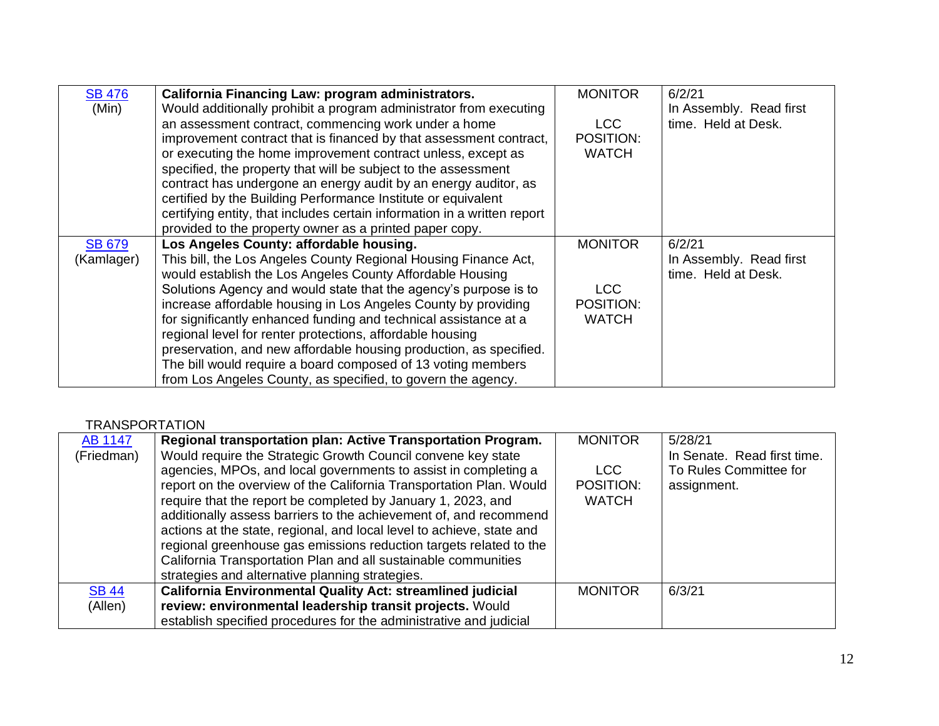| <b>SB 476</b> | California Financing Law: program administrators.                        | <b>MONITOR</b> | 6/2/21                  |
|---------------|--------------------------------------------------------------------------|----------------|-------------------------|
| (Min)         | Would additionally prohibit a program administrator from executing       |                | In Assembly. Read first |
|               | an assessment contract, commencing work under a home                     | LCC.           | time. Held at Desk.     |
|               | improvement contract that is financed by that assessment contract,       | POSITION:      |                         |
|               | or executing the home improvement contract unless, except as             | <b>WATCH</b>   |                         |
|               | specified, the property that will be subject to the assessment           |                |                         |
|               | contract has undergone an energy audit by an energy auditor, as          |                |                         |
|               | certified by the Building Performance Institute or equivalent            |                |                         |
|               | certifying entity, that includes certain information in a written report |                |                         |
|               | provided to the property owner as a printed paper copy.                  |                |                         |
| <b>SB 679</b> | Los Angeles County: affordable housing.                                  | <b>MONITOR</b> | 6/2/21                  |
| (Kamlager)    | This bill, the Los Angeles County Regional Housing Finance Act,          |                | In Assembly. Read first |
|               | would establish the Los Angeles County Affordable Housing                |                | time. Held at Desk.     |
|               | Solutions Agency and would state that the agency's purpose is to         | <b>LCC</b>     |                         |
|               | increase affordable housing in Los Angeles County by providing           | POSITION:      |                         |
|               | for significantly enhanced funding and technical assistance at a         | <b>WATCH</b>   |                         |
|               | regional level for renter protections, affordable housing                |                |                         |
|               | preservation, and new affordable housing production, as specified.       |                |                         |
|               | The bill would require a board composed of 13 voting members             |                |                         |
|               | from Los Angeles County, as specified, to govern the agency.             |                |                         |

#### **TRANSPORTATION**

| <b>AB 1147</b> | Regional transportation plan: Active Transportation Program.          | <b>MONITOR</b> | 5/28/21                     |
|----------------|-----------------------------------------------------------------------|----------------|-----------------------------|
| (Friedman)     | Would require the Strategic Growth Council convene key state          |                | In Senate. Read first time. |
|                | agencies, MPOs, and local governments to assist in completing a       | LCC.           | To Rules Committee for      |
|                | report on the overview of the California Transportation Plan. Would   | POSITION:      | assignment.                 |
|                | require that the report be completed by January 1, 2023, and          | <b>WATCH</b>   |                             |
|                | additionally assess barriers to the achievement of, and recommend     |                |                             |
|                | actions at the state, regional, and local level to achieve, state and |                |                             |
|                | regional greenhouse gas emissions reduction targets related to the    |                |                             |
|                | California Transportation Plan and all sustainable communities        |                |                             |
|                | strategies and alternative planning strategies.                       |                |                             |
| <b>SB 44</b>   | <b>California Environmental Quality Act: streamlined judicial</b>     | <b>MONITOR</b> | 6/3/21                      |
| (Allen)        | review: environmental leadership transit projects. Would              |                |                             |
|                | establish specified procedures for the administrative and judicial    |                |                             |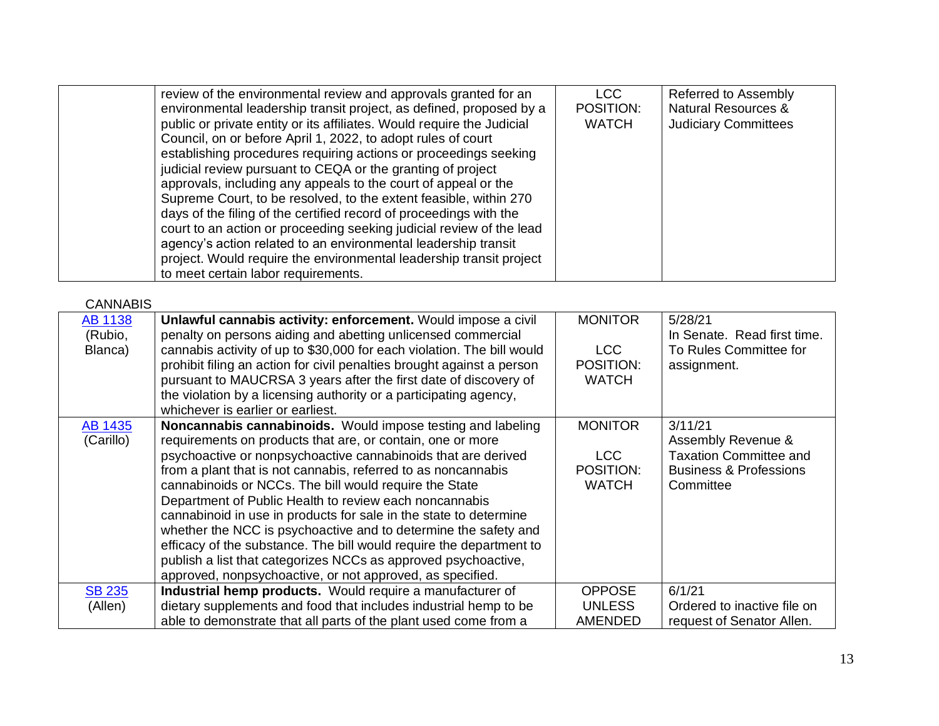| review of the environmental review and approvals granted for an        | LCC          | Referred to Assembly           |
|------------------------------------------------------------------------|--------------|--------------------------------|
| environmental leadership transit project, as defined, proposed by a    | POSITION:    | <b>Natural Resources &amp;</b> |
| public or private entity or its affiliates. Would require the Judicial | <b>WATCH</b> | <b>Judiciary Committees</b>    |
| Council, on or before April 1, 2022, to adopt rules of court           |              |                                |
| establishing procedures requiring actions or proceedings seeking       |              |                                |
| judicial review pursuant to CEQA or the granting of project            |              |                                |
| approvals, including any appeals to the court of appeal or the         |              |                                |
| Supreme Court, to be resolved, to the extent feasible, within 270      |              |                                |
| days of the filing of the certified record of proceedings with the     |              |                                |
| court to an action or proceeding seeking judicial review of the lead   |              |                                |
| agency's action related to an environmental leadership transit         |              |                                |
| project. Would require the environmental leadership transit project    |              |                                |
| to meet certain labor requirements.                                    |              |                                |

CANNABIS

| <b>AB 1138</b> | Unlawful cannabis activity: enforcement. Would impose a civil          | <b>MONITOR</b> | 5/28/21                           |
|----------------|------------------------------------------------------------------------|----------------|-----------------------------------|
| (Rubio,        | penalty on persons aiding and abetting unlicensed commercial           |                | In Senate. Read first time.       |
| Blanca)        | cannabis activity of up to \$30,000 for each violation. The bill would | LCC            | To Rules Committee for            |
|                | prohibit filing an action for civil penalties brought against a person | POSITION:      | assignment.                       |
|                | pursuant to MAUCRSA 3 years after the first date of discovery of       | <b>WATCH</b>   |                                   |
|                | the violation by a licensing authority or a participating agency,      |                |                                   |
|                | whichever is earlier or earliest.                                      |                |                                   |
| AB 1435        | <b>Noncannabis cannabinoids.</b> Would impose testing and labeling     | <b>MONITOR</b> | 3/11/21                           |
| (Carillo)      | requirements on products that are, or contain, one or more             |                | Assembly Revenue &                |
|                | psychoactive or nonpsychoactive cannabinoids that are derived          | LCC            | <b>Taxation Committee and</b>     |
|                | from a plant that is not cannabis, referred to as noncannabis          | POSITION:      | <b>Business &amp; Professions</b> |
|                | cannabinoids or NCCs. The bill would require the State                 | <b>WATCH</b>   | Committee                         |
|                | Department of Public Health to review each noncannabis                 |                |                                   |
|                | cannabinoid in use in products for sale in the state to determine      |                |                                   |
|                | whether the NCC is psychoactive and to determine the safety and        |                |                                   |
|                | efficacy of the substance. The bill would require the department to    |                |                                   |
|                | publish a list that categorizes NCCs as approved psychoactive,         |                |                                   |
|                | approved, nonpsychoactive, or not approved, as specified.              |                |                                   |
| <b>SB 235</b>  | Industrial hemp products. Would require a manufacturer of              | <b>OPPOSE</b>  | 6/1/21                            |
| (Allen)        | dietary supplements and food that includes industrial hemp to be       | <b>UNLESS</b>  | Ordered to inactive file on       |
|                | able to demonstrate that all parts of the plant used come from a       | AMENDED        | request of Senator Allen.         |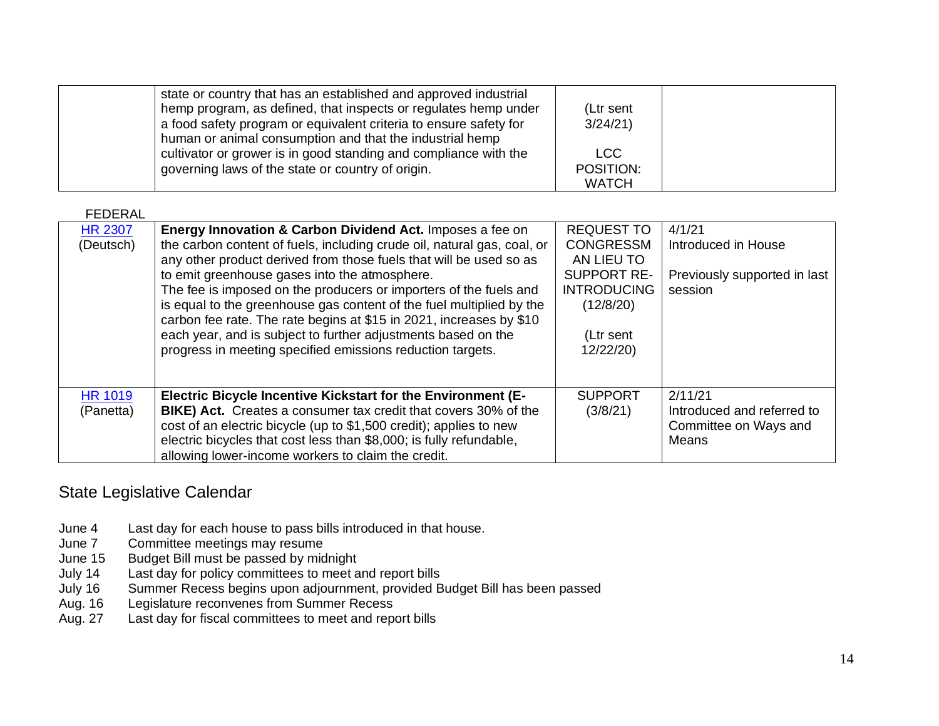| state or country that has an established and approved industrial<br>hemp program, as defined, that inspects or regulates hemp under<br>a food safety program or equivalent criteria to ensure safety for<br>human or animal consumption and that the industrial hemp | (Ltr sent<br>3/24/21             |  |
|----------------------------------------------------------------------------------------------------------------------------------------------------------------------------------------------------------------------------------------------------------------------|----------------------------------|--|
| cultivator or grower is in good standing and compliance with the<br>governing laws of the state or country of origin.                                                                                                                                                | LCC<br>POSITION:<br><b>WATCH</b> |  |

FEDERAL

| <b>HR 2307</b><br>(Deutsch) | Energy Innovation & Carbon Dividend Act. Imposes a fee on<br>the carbon content of fuels, including crude oil, natural gas, coal, or<br>any other product derived from those fuels that will be used so as<br>to emit greenhouse gases into the atmosphere.<br>The fee is imposed on the producers or importers of the fuels and<br>is equal to the greenhouse gas content of the fuel multiplied by the<br>carbon fee rate. The rate begins at \$15 in 2021, increases by \$10<br>each year, and is subject to further adjustments based on the<br>progress in meeting specified emissions reduction targets. | <b>REQUEST TO</b><br><b>CONGRESSM</b><br>AN LIEU TO<br><b>SUPPORT RE-</b><br><b>INTRODUCING</b><br>(12/8/20)<br>(Ltr sent<br>12/22/20) | 4/1/21<br>Introduced in House<br>Previously supported in last<br>session |
|-----------------------------|----------------------------------------------------------------------------------------------------------------------------------------------------------------------------------------------------------------------------------------------------------------------------------------------------------------------------------------------------------------------------------------------------------------------------------------------------------------------------------------------------------------------------------------------------------------------------------------------------------------|----------------------------------------------------------------------------------------------------------------------------------------|--------------------------------------------------------------------------|
| <b>HR 1019</b><br>(Panetta) | Electric Bicycle Incentive Kickstart for the Environment (E-<br>BIKE) Act. Creates a consumer tax credit that covers 30% of the<br>cost of an electric bicycle (up to \$1,500 credit); applies to new<br>electric bicycles that cost less than \$8,000; is fully refundable,<br>allowing lower-income workers to claim the credit.                                                                                                                                                                                                                                                                             | <b>SUPPORT</b><br>(3/8/21)                                                                                                             | 2/11/21<br>Introduced and referred to<br>Committee on Ways and<br>Means  |

## State Legislative Calendar

- June 4 Last day for each house to pass bills introduced in that house.<br>June 7 Committee meetings may resume
- June 7 Committee meetings may resume<br>June 15 Budget Bill must be passed by mid
- June 15 Budget Bill must be passed by midnight<br>July 14 Last day for policy committees to meet a
- Last day for policy committees to meet and report bills
- July 16 Summer Recess begins upon adjournment, provided Budget Bill has been passed
- Aug. 16 Legislature reconvenes from Summer Recess
- Aug. 27 Last day for fiscal committees to meet and report bills